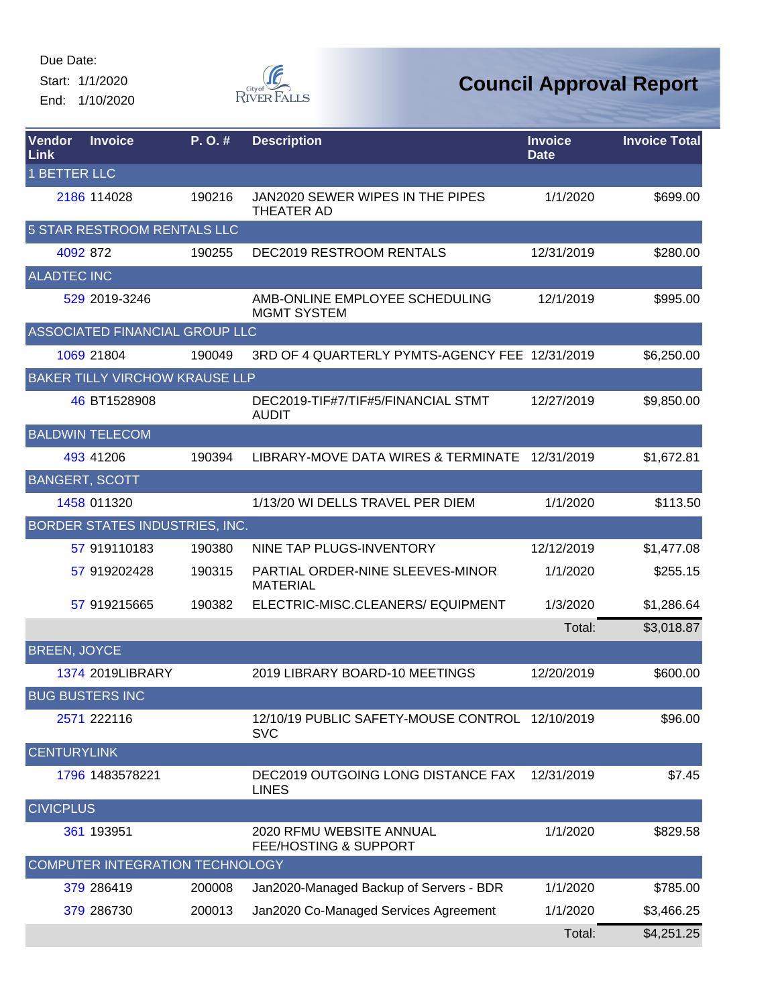Start: 1/1/2020 End: 1/10/2020



| Vendor<br>Link        | <b>Invoice</b>                        | P.O.#  | <b>Description</b>                                            | <b>Invoice</b><br><b>Date</b> | <b>Invoice Total</b> |
|-----------------------|---------------------------------------|--------|---------------------------------------------------------------|-------------------------------|----------------------|
| <b>1 BETTER LLC</b>   |                                       |        |                                                               |                               |                      |
|                       | 2186 114028                           | 190216 | JAN2020 SEWER WIPES IN THE PIPES<br><b>THEATER AD</b>         | 1/1/2020                      | \$699.00             |
|                       | 5 STAR RESTROOM RENTALS LLC           |        |                                                               |                               |                      |
| 4092 872              |                                       | 190255 | DEC2019 RESTROOM RENTALS                                      | 12/31/2019                    | \$280.00             |
| <b>ALADTEC INC</b>    |                                       |        |                                                               |                               |                      |
|                       | 529 2019-3246                         |        | AMB-ONLINE EMPLOYEE SCHEDULING<br><b>MGMT SYSTEM</b>          | 12/1/2019                     | \$995.00             |
|                       | ASSOCIATED FINANCIAL GROUP LLC        |        |                                                               |                               |                      |
|                       | 1069 21804                            | 190049 | 3RD OF 4 QUARTERLY PYMTS-AGENCY FEE 12/31/2019                |                               | \$6,250.00           |
|                       | <b>BAKER TILLY VIRCHOW KRAUSE LLP</b> |        |                                                               |                               |                      |
|                       | 46 BT1528908                          |        | DEC2019-TIF#7/TIF#5/FINANCIAL STMT<br><b>AUDIT</b>            | 12/27/2019                    | \$9,850.00           |
|                       | <b>BALDWIN TELECOM</b>                |        |                                                               |                               |                      |
|                       | 493 41206                             | 190394 | LIBRARY-MOVE DATA WIRES & TERMINATE                           | 12/31/2019                    | \$1,672.81           |
| <b>BANGERT, SCOTT</b> |                                       |        |                                                               |                               |                      |
|                       | 1458 011320                           |        | 1/13/20 WI DELLS TRAVEL PER DIEM                              | 1/1/2020                      | \$113.50             |
|                       | BORDER STATES INDUSTRIES, INC.        |        |                                                               |                               |                      |
|                       | 57 919110183                          | 190380 | NINE TAP PLUGS-INVENTORY                                      | 12/12/2019                    | \$1,477.08           |
|                       | 57 919202428                          | 190315 | PARTIAL ORDER-NINE SLEEVES-MINOR<br><b>MATERIAL</b>           | 1/1/2020                      | \$255.15             |
|                       | 57 919215665                          | 190382 | ELECTRIC-MISC.CLEANERS/ EQUIPMENT                             | 1/3/2020                      | \$1,286.64           |
|                       |                                       |        |                                                               | Total:                        | \$3,018.87           |
| <b>BREEN, JOYCE</b>   |                                       |        |                                                               |                               |                      |
|                       | 1374 2019LIBRARY                      |        | 2019 LIBRARY BOARD-10 MEETINGS                                | 12/20/2019                    | \$600.00             |
|                       | <b>BUG BUSTERS INC</b>                |        |                                                               |                               |                      |
|                       | 2571 222116                           |        | 12/10/19 PUBLIC SAFETY-MOUSE CONTROL 12/10/2019<br><b>SVC</b> |                               | \$96.00              |
| <b>CENTURYLINK</b>    |                                       |        |                                                               |                               |                      |
|                       | 1796 1483578221                       |        | DEC2019 OUTGOING LONG DISTANCE FAX<br><b>LINES</b>            | 12/31/2019                    | \$7.45               |
| <b>CIVICPLUS</b>      |                                       |        |                                                               |                               |                      |
|                       | 361 193951                            |        | 2020 RFMU WEBSITE ANNUAL<br><b>FEE/HOSTING &amp; SUPPORT</b>  | 1/1/2020                      | \$829.58             |
|                       | COMPUTER INTEGRATION TECHNOLOGY       |        |                                                               |                               |                      |
|                       | 379 286419                            | 200008 | Jan2020-Managed Backup of Servers - BDR                       | 1/1/2020                      | \$785.00             |
|                       | 379 286730                            | 200013 | Jan2020 Co-Managed Services Agreement                         | 1/1/2020                      | \$3,466.25           |
|                       |                                       |        |                                                               | Total:                        | \$4,251.25           |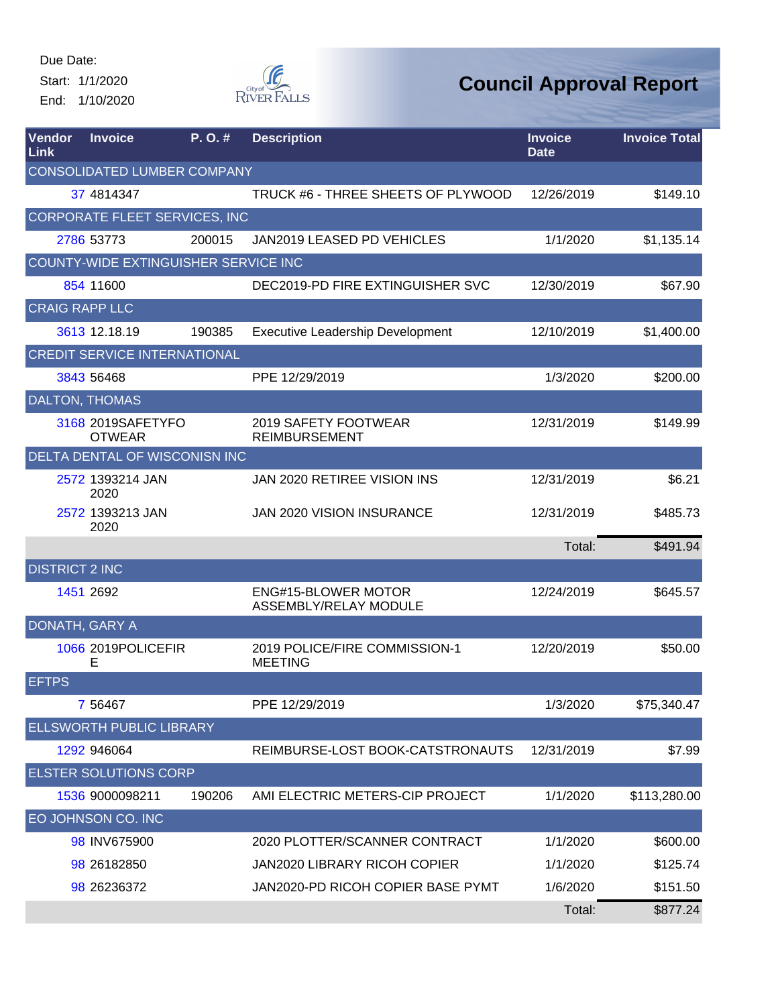Start: 1/1/2020 End: 1/10/2020



| Vendor<br><b>Link</b> | <b>Invoice</b>                       | P.O.#  | <b>Description</b>                                  | <b>Invoice</b><br><b>Date</b> | <b>Invoice Total</b> |
|-----------------------|--------------------------------------|--------|-----------------------------------------------------|-------------------------------|----------------------|
|                       | <b>CONSOLIDATED LUMBER COMPANY</b>   |        |                                                     |                               |                      |
|                       | 37 4814347                           |        | TRUCK #6 - THREE SHEETS OF PLYWOOD                  | 12/26/2019                    | \$149.10             |
|                       | CORPORATE FLEET SERVICES, INC        |        |                                                     |                               |                      |
|                       | 2786 53773                           | 200015 | JAN2019 LEASED PD VEHICLES                          | 1/1/2020                      | \$1,135.14           |
|                       | COUNTY-WIDE EXTINGUISHER SERVICE INC |        |                                                     |                               |                      |
|                       | 854 11600                            |        | DEC2019-PD FIRE EXTINGUISHER SVC                    | 12/30/2019                    | \$67.90              |
| <b>CRAIG RAPP LLC</b> |                                      |        |                                                     |                               |                      |
|                       | 3613 12.18.19                        | 190385 | <b>Executive Leadership Development</b>             | 12/10/2019                    | \$1,400.00           |
|                       | <b>CREDIT SERVICE INTERNATIONAL</b>  |        |                                                     |                               |                      |
|                       | 3843 56468                           |        | PPE 12/29/2019                                      | 1/3/2020                      | \$200.00             |
|                       | <b>DALTON, THOMAS</b>                |        |                                                     |                               |                      |
|                       | 3168 2019SAFETYFO<br><b>OTWEAR</b>   |        | 2019 SAFETY FOOTWEAR<br><b>REIMBURSEMENT</b>        | 12/31/2019                    | \$149.99             |
|                       | <b>DELTA DENTAL OF WISCONISN INC</b> |        |                                                     |                               |                      |
|                       | 2572 1393214 JAN<br>2020             |        | JAN 2020 RETIREE VISION INS                         | 12/31/2019                    | \$6.21               |
|                       | 2572 1393213 JAN<br>2020             |        | <b>JAN 2020 VISION INSURANCE</b>                    | 12/31/2019                    | \$485.73             |
|                       |                                      |        |                                                     | Total:                        | \$491.94             |
| <b>DISTRICT 2 INC</b> |                                      |        |                                                     |                               |                      |
|                       | 1451 2692                            |        | <b>ENG#15-BLOWER MOTOR</b><br>ASSEMBLY/RELAY MODULE | 12/24/2019                    | \$645.57             |
| DONATH, GARY A        |                                      |        |                                                     |                               |                      |
|                       | 1066 2019POLICEFIR<br>Е              |        | 2019 POLICE/FIRE COMMISSION-1<br><b>MEETING</b>     | 12/20/2019                    | \$50.00              |
| <b>EFTPS</b>          |                                      |        |                                                     |                               |                      |
|                       | 7 5 6 4 6 7                          |        | PPE 12/29/2019                                      | 1/3/2020                      | \$75,340.47          |
|                       | <b>ELLSWORTH PUBLIC LIBRARY</b>      |        |                                                     |                               |                      |
|                       | 1292 946064                          |        | REIMBURSE-LOST BOOK-CATSTRONAUTS                    | 12/31/2019                    | \$7.99               |
|                       | <b>ELSTER SOLUTIONS CORP</b>         |        |                                                     |                               |                      |
|                       | 1536 9000098211                      | 190206 | AMI ELECTRIC METERS-CIP PROJECT                     | 1/1/2020                      | \$113,280.00         |
|                       | EO JOHNSON CO. INC                   |        |                                                     |                               |                      |
|                       | 98 INV675900                         |        | 2020 PLOTTER/SCANNER CONTRACT                       | 1/1/2020                      | \$600.00             |
|                       | 98 26182850                          |        | <b>JAN2020 LIBRARY RICOH COPIER</b>                 | 1/1/2020                      | \$125.74             |
|                       | 98 26236372                          |        | JAN2020-PD RICOH COPIER BASE PYMT                   | 1/6/2020                      | \$151.50             |
|                       |                                      |        |                                                     | Total:                        | \$877.24             |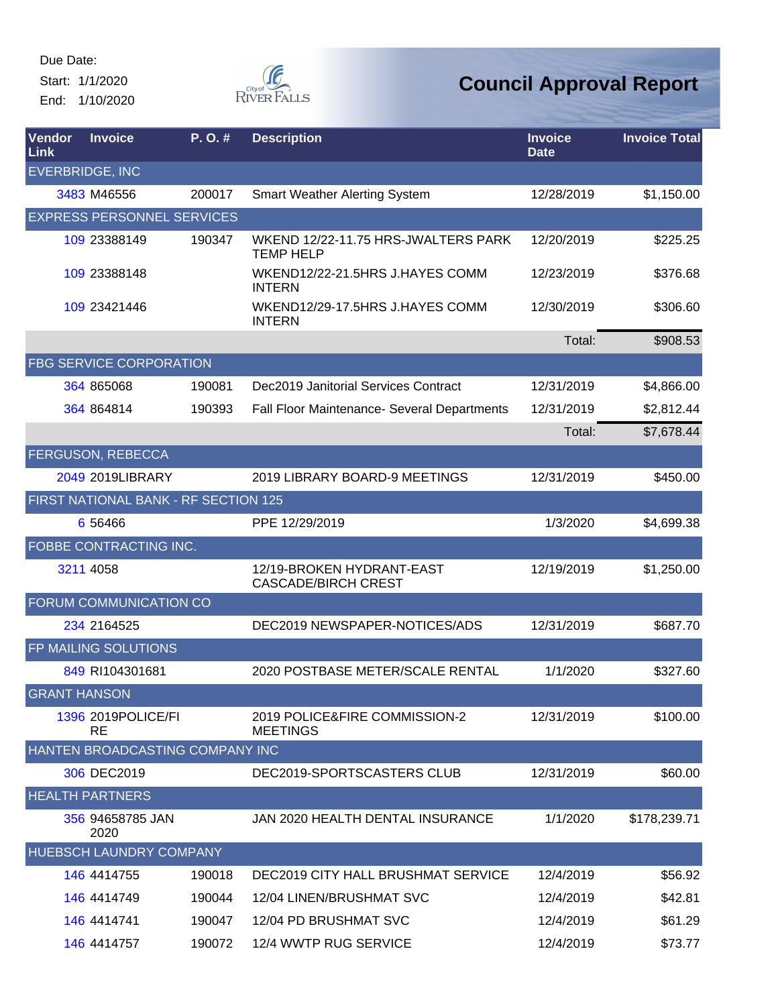Start: 1/1/2020 End: 1/10/2020



| Vendor<br>Link      | <b>Invoice</b>                       | $P. O.$ # | <b>Description</b>                                      | <b>Invoice</b><br><b>Date</b> | <b>Invoice Total</b> |
|---------------------|--------------------------------------|-----------|---------------------------------------------------------|-------------------------------|----------------------|
|                     | <b>EVERBRIDGE, INC</b>               |           |                                                         |                               |                      |
|                     | 3483 M46556                          | 200017    | <b>Smart Weather Alerting System</b>                    | 12/28/2019                    | \$1,150.00           |
|                     | <b>EXPRESS PERSONNEL SERVICES</b>    |           |                                                         |                               |                      |
|                     | 109 23388149                         | 190347    | WKEND 12/22-11.75 HRS-JWALTERS PARK<br><b>TEMP HELP</b> | 12/20/2019                    | \$225.25             |
|                     | 109 23388148                         |           | WKEND12/22-21.5HRS J.HAYES COMM<br><b>INTERN</b>        | 12/23/2019                    | \$376.68             |
|                     | 109 23421446                         |           | WKEND12/29-17.5HRS J.HAYES COMM<br><b>INTERN</b>        | 12/30/2019                    | \$306.60             |
|                     |                                      |           |                                                         | Total:                        | \$908.53             |
|                     | <b>FBG SERVICE CORPORATION</b>       |           |                                                         |                               |                      |
|                     | 364 865068                           | 190081    | Dec2019 Janitorial Services Contract                    | 12/31/2019                    | \$4,866.00           |
|                     | 364 864814                           | 190393    | Fall Floor Maintenance- Several Departments             | 12/31/2019                    | \$2,812.44           |
|                     |                                      |           |                                                         | Total:                        | \$7,678.44           |
|                     | FERGUSON, REBECCA                    |           |                                                         |                               |                      |
|                     | 2049 2019LIBRARY                     |           | 2019 LIBRARY BOARD-9 MEETINGS                           | 12/31/2019                    | \$450.00             |
|                     | FIRST NATIONAL BANK - RF SECTION 125 |           |                                                         |                               |                      |
|                     | 6 5 6 4 6 6                          |           | PPE 12/29/2019                                          | 1/3/2020                      | \$4,699.38           |
|                     | FOBBE CONTRACTING INC.               |           |                                                         |                               |                      |
|                     | 3211 4058                            |           | 12/19-BROKEN HYDRANT-EAST<br><b>CASCADE/BIRCH CREST</b> | 12/19/2019                    | \$1,250.00           |
|                     | FORUM COMMUNICATION CO               |           |                                                         |                               |                      |
|                     | 234 2164525                          |           | DEC2019 NEWSPAPER-NOTICES/ADS                           | 12/31/2019                    | \$687.70             |
|                     | FP MAILING SOLUTIONS                 |           |                                                         |                               |                      |
|                     | 849 RI104301681                      |           | 2020 POSTBASE METER/SCALE RENTAL                        | 1/1/2020                      | \$327.60             |
| <b>GRANT HANSON</b> |                                      |           |                                                         |                               |                      |
|                     | 1396 2019 POLICE/FI<br><b>RE</b>     |           | 2019 POLICE&FIRE COMMISSION-2<br><b>MEETINGS</b>        | 12/31/2019                    | \$100.00             |
|                     | HANTEN BROADCASTING COMPANY INC      |           |                                                         |                               |                      |
|                     | 306 DEC2019                          |           | DEC2019-SPORTSCASTERS CLUB                              | 12/31/2019                    | \$60.00              |
|                     | <b>HEALTH PARTNERS</b>               |           |                                                         |                               |                      |
|                     | 356 94658785 JAN<br>2020             |           | JAN 2020 HEALTH DENTAL INSURANCE                        | 1/1/2020                      | \$178,239.71         |
|                     | HUEBSCH LAUNDRY COMPANY              |           |                                                         |                               |                      |
|                     | 146 4414755                          | 190018    | DEC2019 CITY HALL BRUSHMAT SERVICE                      | 12/4/2019                     | \$56.92              |
|                     | 146 4414749                          | 190044    | 12/04 LINEN/BRUSHMAT SVC                                | 12/4/2019                     | \$42.81              |
|                     | 146 4414741                          | 190047    | 12/04 PD BRUSHMAT SVC                                   | 12/4/2019                     | \$61.29              |
|                     | 146 4414757                          | 190072    | 12/4 WWTP RUG SERVICE                                   | 12/4/2019                     | \$73.77              |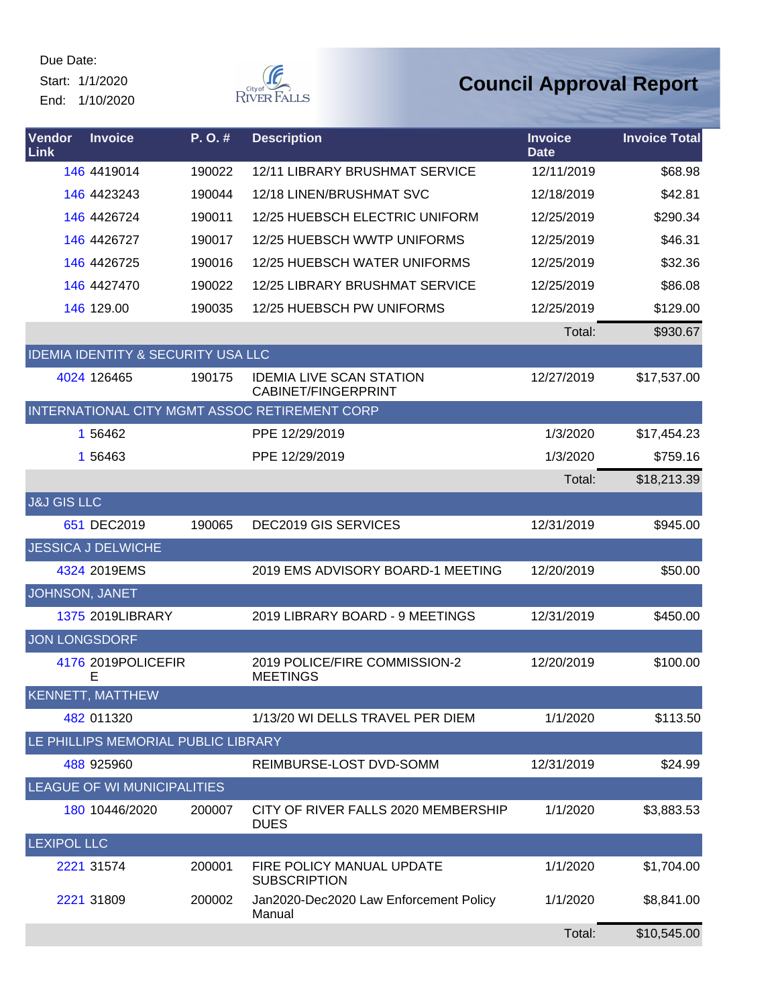Start: 1/1/2020 End: 1/10/2020



| Vendor<br><b>Link</b>  | <b>Invoice</b>                                | P.O.#  | <b>Description</b>                                            | <b>Invoice</b><br><b>Date</b> | <b>Invoice Total</b> |
|------------------------|-----------------------------------------------|--------|---------------------------------------------------------------|-------------------------------|----------------------|
|                        | 146 4419014                                   | 190022 | 12/11 LIBRARY BRUSHMAT SERVICE                                | 12/11/2019                    | \$68.98              |
|                        | 146 4423243                                   | 190044 | 12/18 LINEN/BRUSHMAT SVC                                      | 12/18/2019                    | \$42.81              |
|                        | 146 4426724                                   | 190011 | 12/25 HUEBSCH ELECTRIC UNIFORM                                | 12/25/2019                    | \$290.34             |
|                        | 146 4426727                                   | 190017 | 12/25 HUEBSCH WWTP UNIFORMS                                   | 12/25/2019                    | \$46.31              |
|                        | 146 4426725                                   | 190016 | 12/25 HUEBSCH WATER UNIFORMS                                  | 12/25/2019                    | \$32.36              |
|                        | 146 4427470                                   | 190022 | 12/25 LIBRARY BRUSHMAT SERVICE                                | 12/25/2019                    | \$86.08              |
|                        | 146 129.00                                    | 190035 | 12/25 HUEBSCH PW UNIFORMS                                     | 12/25/2019                    | \$129.00             |
|                        |                                               |        |                                                               | Total:                        | \$930.67             |
|                        | <b>IDEMIA IDENTITY &amp; SECURITY USA LLC</b> |        |                                                               |                               |                      |
|                        | 4024 126465                                   | 190175 | <b>IDEMIA LIVE SCAN STATION</b><br><b>CABINET/FINGERPRINT</b> | 12/27/2019                    | \$17,537.00          |
|                        |                                               |        | INTERNATIONAL CITY MGMT ASSOC RETIREMENT CORP                 |                               |                      |
|                        | 1 56462                                       |        | PPE 12/29/2019                                                | 1/3/2020                      | \$17,454.23          |
|                        | 1 56463                                       |        | PPE 12/29/2019                                                | 1/3/2020                      | \$759.16             |
|                        |                                               |        |                                                               | Total:                        | \$18,213.39          |
| <b>J&amp;J GIS LLC</b> |                                               |        |                                                               |                               |                      |
|                        | 651 DEC2019                                   | 190065 | DEC2019 GIS SERVICES                                          | 12/31/2019                    | \$945.00             |
|                        | <b>JESSICA J DELWICHE</b>                     |        |                                                               |                               |                      |
|                        | 4324 2019EMS                                  |        | 2019 EMS ADVISORY BOARD-1 MEETING                             | 12/20/2019                    | \$50.00              |
| JOHNSON, JANET         |                                               |        |                                                               |                               |                      |
|                        | <b>1375 2019LIBRARY</b>                       |        | 2019 LIBRARY BOARD - 9 MEETINGS                               | 12/31/2019                    | \$450.00             |
| JON LONGSDORF          |                                               |        |                                                               |                               |                      |
|                        | 4176 2019 POLICEFIR<br>E                      |        | 2019 POLICE/FIRE COMMISSION-2<br><b>MEETINGS</b>              | 12/20/2019                    | \$100.00             |
|                        | KENNETT, MATTHEW                              |        |                                                               |                               |                      |
|                        | 482 011320                                    |        | 1/13/20 WI DELLS TRAVEL PER DIEM                              | 1/1/2020                      | \$113.50             |
|                        | LE PHILLIPS MEMORIAL PUBLIC LIBRARY           |        |                                                               |                               |                      |
|                        | 488 925960                                    |        | REIMBURSE-LOST DVD-SOMM                                       | 12/31/2019                    | \$24.99              |
|                        | LEAGUE OF WI MUNICIPALITIES                   |        |                                                               |                               |                      |
|                        | 180 10446/2020                                | 200007 | CITY OF RIVER FALLS 2020 MEMBERSHIP<br><b>DUES</b>            | 1/1/2020                      | \$3,883.53           |
| <b>LEXIPOL LLC</b>     |                                               |        |                                                               |                               |                      |
|                        | 2221 31574                                    | 200001 | FIRE POLICY MANUAL UPDATE<br><b>SUBSCRIPTION</b>              | 1/1/2020                      | \$1,704.00           |
|                        | 2221 31809                                    | 200002 | Jan2020-Dec2020 Law Enforcement Policy<br>Manual              | 1/1/2020                      | \$8,841.00           |
|                        |                                               |        |                                                               | Total:                        | \$10,545.00          |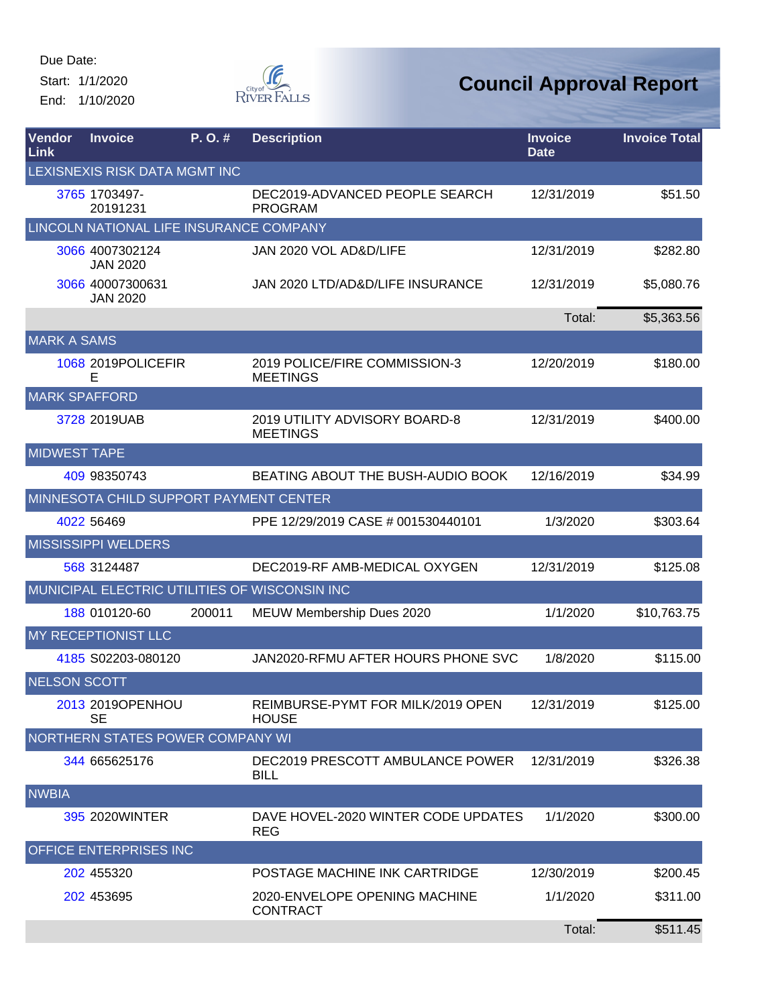Start: 1/1/2020 End: 1/10/2020



| <b>Vendor</b><br>Link | <b>Invoice</b>                          | P. O. # | <b>Description</b>                                | <b>Invoice</b><br><b>Date</b> | <b>Invoice Total</b> |  |  |  |
|-----------------------|-----------------------------------------|---------|---------------------------------------------------|-------------------------------|----------------------|--|--|--|
|                       | LEXISNEXIS RISK DATA MGMT INC           |         |                                                   |                               |                      |  |  |  |
|                       | 3765 1703497-<br>20191231               |         | DEC2019-ADVANCED PEOPLE SEARCH<br><b>PROGRAM</b>  | 12/31/2019                    | \$51.50              |  |  |  |
|                       | LINCOLN NATIONAL LIFE INSURANCE COMPANY |         |                                                   |                               |                      |  |  |  |
|                       | 3066 4007302124<br><b>JAN 2020</b>      |         | JAN 2020 VOL AD&D/LIFE                            | 12/31/2019                    | \$282.80             |  |  |  |
|                       | 3066 40007300631<br><b>JAN 2020</b>     |         | JAN 2020 LTD/AD&D/LIFE INSURANCE                  | 12/31/2019                    | \$5,080.76           |  |  |  |
|                       |                                         |         |                                                   | Total:                        | \$5,363.56           |  |  |  |
| <b>MARK A SAMS</b>    |                                         |         |                                                   |                               |                      |  |  |  |
|                       | 1068 2019 POLICEFIR<br>Е                |         | 2019 POLICE/FIRE COMMISSION-3<br><b>MEETINGS</b>  | 12/20/2019                    | \$180.00             |  |  |  |
| <b>MARK SPAFFORD</b>  |                                         |         |                                                   |                               |                      |  |  |  |
|                       | 3728 2019UAB                            |         | 2019 UTILITY ADVISORY BOARD-8<br><b>MEETINGS</b>  | 12/31/2019                    | \$400.00             |  |  |  |
| <b>MIDWEST TAPE</b>   |                                         |         |                                                   |                               |                      |  |  |  |
|                       | 409 98350743                            |         | BEATING ABOUT THE BUSH-AUDIO BOOK                 | 12/16/2019                    | \$34.99              |  |  |  |
|                       | MINNESOTA CHILD SUPPORT PAYMENT CENTER  |         |                                                   |                               |                      |  |  |  |
|                       | 4022 56469                              |         | PPE 12/29/2019 CASE # 001530440101                | 1/3/2020                      | \$303.64             |  |  |  |
|                       | <b>MISSISSIPPI WELDERS</b>              |         |                                                   |                               |                      |  |  |  |
|                       | 568 3124487                             |         | DEC2019-RF AMB-MEDICAL OXYGEN                     | 12/31/2019                    | \$125.08             |  |  |  |
|                       |                                         |         | MUNICIPAL ELECTRIC UTILITIES OF WISCONSIN INC     |                               |                      |  |  |  |
|                       | 188 010120-60                           | 200011  | MEUW Membership Dues 2020                         | 1/1/2020                      | \$10,763.75          |  |  |  |
|                       | MY RECEPTIONIST LLC                     |         |                                                   |                               |                      |  |  |  |
|                       | 4185 S02203-080120                      |         | JAN2020-RFMU AFTER HOURS PHONE SVC                | 1/8/2020                      | \$115.00             |  |  |  |
| <b>NELSON SCOTT</b>   |                                         |         |                                                   |                               |                      |  |  |  |
|                       | 2013 2019 OPENHOU<br><b>SE</b>          |         | REIMBURSE-PYMT FOR MILK/2019 OPEN<br><b>HOUSE</b> | 12/31/2019                    | \$125.00             |  |  |  |
|                       | NORTHERN STATES POWER COMPANY WI        |         |                                                   |                               |                      |  |  |  |
|                       | 344 665625176                           |         | DEC2019 PRESCOTT AMBULANCE POWER<br><b>BILL</b>   | 12/31/2019                    | \$326.38             |  |  |  |
| <b>NWBIA</b>          |                                         |         |                                                   |                               |                      |  |  |  |
|                       | 395 2020 WINTER                         |         | DAVE HOVEL-2020 WINTER CODE UPDATES<br><b>REG</b> | 1/1/2020                      | \$300.00             |  |  |  |
|                       | OFFICE ENTERPRISES INC                  |         |                                                   |                               |                      |  |  |  |
|                       | 202 455320                              |         | POSTAGE MACHINE INK CARTRIDGE                     | 12/30/2019                    | \$200.45             |  |  |  |
|                       | 202 453695                              |         | 2020-ENVELOPE OPENING MACHINE<br><b>CONTRACT</b>  | 1/1/2020                      | \$311.00             |  |  |  |
|                       |                                         |         |                                                   | Total:                        | \$511.45             |  |  |  |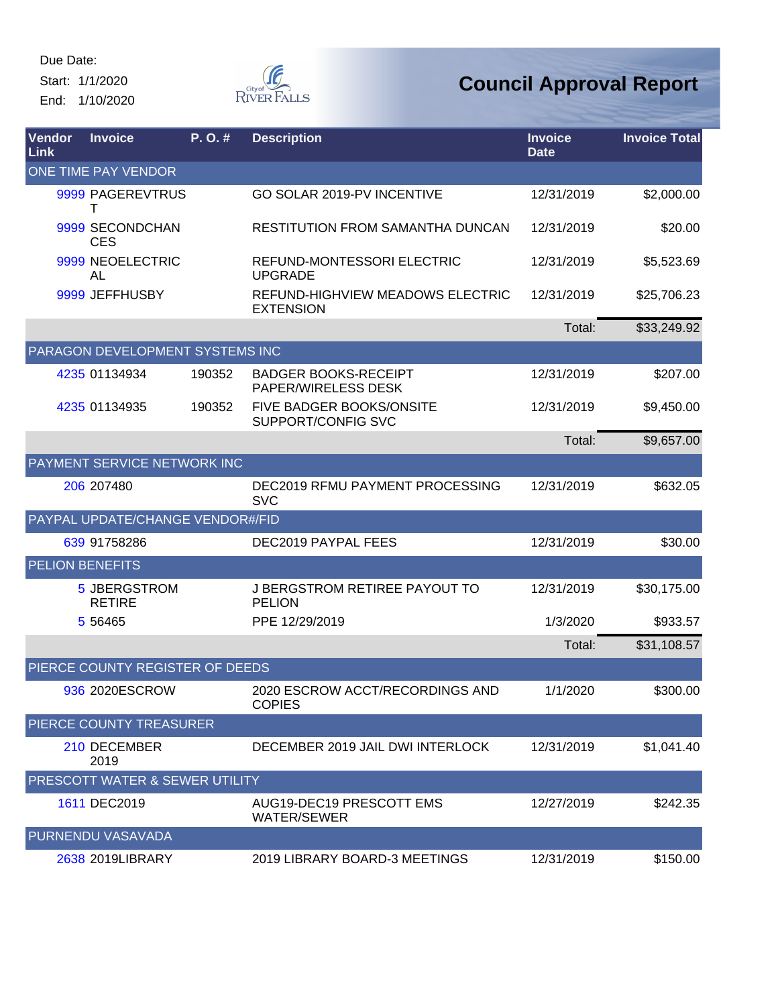Start: 1/1/2020 End: 1/10/2020



| Vendor<br>Link         | <b>Invoice</b>                   | P.O.#  | <b>Description</b>                                   | <b>Invoice</b><br><b>Date</b> | <b>Invoice Total</b> |
|------------------------|----------------------------------|--------|------------------------------------------------------|-------------------------------|----------------------|
|                        | ONE TIME PAY VENDOR              |        |                                                      |                               |                      |
|                        | 9999 PAGEREVTRUS<br>т            |        | GO SOLAR 2019-PV INCENTIVE                           | 12/31/2019                    | \$2,000.00           |
|                        | 9999 SECONDCHAN<br><b>CES</b>    |        | <b>RESTITUTION FROM SAMANTHA DUNCAN</b>              | 12/31/2019                    | \$20.00              |
|                        | 9999 NEOELECTRIC<br><b>AL</b>    |        | REFUND-MONTESSORI ELECTRIC<br><b>UPGRADE</b>         | 12/31/2019                    | \$5,523.69           |
|                        | 9999 JEFFHUSBY                   |        | REFUND-HIGHVIEW MEADOWS ELECTRIC<br><b>EXTENSION</b> | 12/31/2019                    | \$25,706.23          |
|                        |                                  |        |                                                      | Total:                        | \$33,249.92          |
|                        | PARAGON DEVELOPMENT SYSTEMS INC  |        |                                                      |                               |                      |
|                        | 4235 01134934                    | 190352 | <b>BADGER BOOKS-RECEIPT</b><br>PAPER/WIRELESS DESK   | 12/31/2019                    | \$207.00             |
|                        | 4235 01134935                    | 190352 | FIVE BADGER BOOKS/ONSITE<br>SUPPORT/CONFIG SVC       | 12/31/2019                    | \$9,450.00           |
|                        |                                  |        |                                                      | Total:                        | \$9,657.00           |
|                        | PAYMENT SERVICE NETWORK INC      |        |                                                      |                               |                      |
|                        | 206 207480                       |        | DEC2019 RFMU PAYMENT PROCESSING<br><b>SVC</b>        | 12/31/2019                    | \$632.05             |
|                        | PAYPAL UPDATE/CHANGE VENDOR#/FID |        |                                                      |                               |                      |
|                        | 639 91758286                     |        | DEC2019 PAYPAL FEES                                  | 12/31/2019                    | \$30.00              |
| <b>PELION BENEFITS</b> |                                  |        |                                                      |                               |                      |
|                        | 5 JBERGSTROM<br><b>RETIRE</b>    |        | J BERGSTROM RETIREE PAYOUT TO<br><b>PELION</b>       | 12/31/2019                    | \$30,175.00          |
|                        | 5 5 6 4 6 5                      |        | PPE 12/29/2019                                       | 1/3/2020                      | \$933.57             |
|                        |                                  |        |                                                      | Total:                        | \$31,108.57          |
|                        | PIERCE COUNTY REGISTER OF DEEDS  |        |                                                      |                               |                      |
|                        | 936 2020ESCROW                   |        | 2020 ESCROW ACCT/RECORDINGS AND<br><b>COPIES</b>     | 1/1/2020                      | \$300.00             |
|                        | PIERCE COUNTY TREASURER          |        |                                                      |                               |                      |
|                        | 210 DECEMBER<br>2019             |        | DECEMBER 2019 JAIL DWI INTERLOCK                     | 12/31/2019                    | \$1,041.40           |
|                        | PRESCOTT WATER & SEWER UTILITY   |        |                                                      |                               |                      |
|                        | 1611 DEC2019                     |        | AUG19-DEC19 PRESCOTT EMS<br><b>WATER/SEWER</b>       | 12/27/2019                    | \$242.35             |
|                        | <b>PURNENDU VASAVADA</b>         |        |                                                      |                               |                      |
|                        | 2638 2019LIBRARY                 |        | 2019 LIBRARY BOARD-3 MEETINGS                        | 12/31/2019                    | \$150.00             |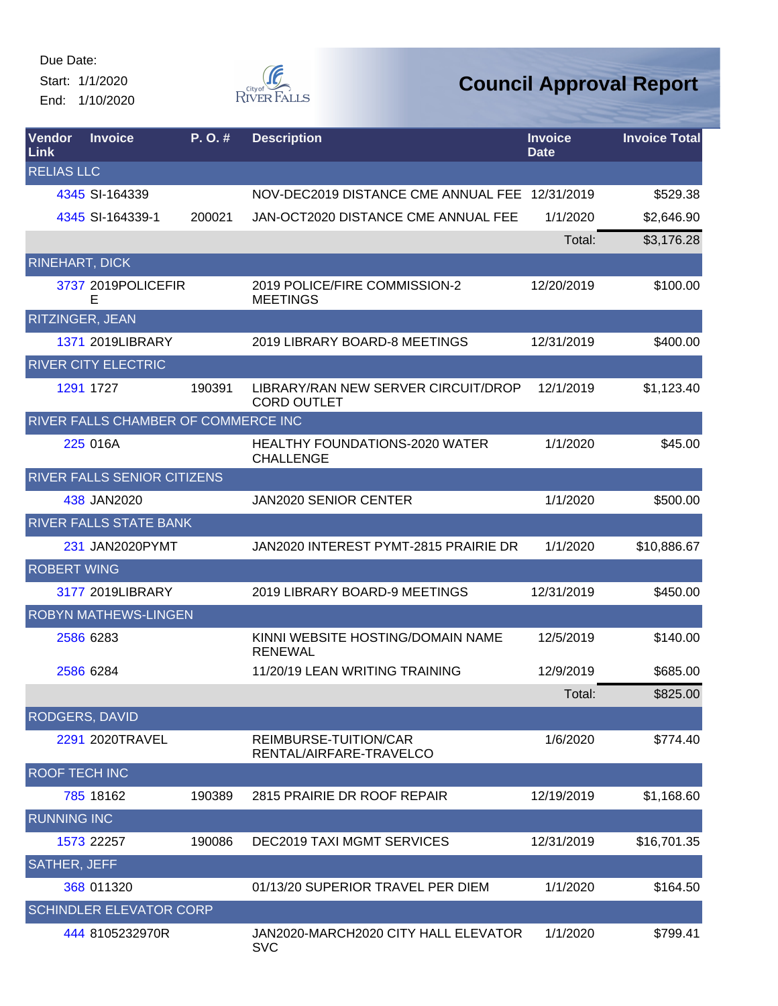Start: 1/1/2020 End: 1/10/2020



| Vendor<br>Link        | <b>Invoice</b>                      | P.O.#  | <b>Description</b>                                        | <b>Invoice</b><br><b>Date</b> | <b>Invoice Total</b> |
|-----------------------|-------------------------------------|--------|-----------------------------------------------------------|-------------------------------|----------------------|
| <b>RELIAS LLC</b>     |                                     |        |                                                           |                               |                      |
|                       | 4345 SI-164339                      |        | NOV-DEC2019 DISTANCE CME ANNUAL FEE 12/31/2019            |                               | \$529.38             |
|                       | 4345 SI-164339-1                    | 200021 | JAN-OCT2020 DISTANCE CME ANNUAL FEE                       | 1/1/2020                      | \$2,646.90           |
|                       |                                     |        |                                                           | Total:                        | \$3,176.28           |
| <b>RINEHART, DICK</b> |                                     |        |                                                           |                               |                      |
|                       | 3737 2019 POLICEFIR<br>F            |        | 2019 POLICE/FIRE COMMISSION-2<br><b>MEETINGS</b>          | 12/20/2019                    | \$100.00             |
| RITZINGER, JEAN       |                                     |        |                                                           |                               |                      |
|                       | 1371 2019LIBRARY                    |        | 2019 LIBRARY BOARD-8 MEETINGS                             | 12/31/2019                    | \$400.00             |
|                       | <b>RIVER CITY ELECTRIC</b>          |        |                                                           |                               |                      |
|                       | 1291 1727                           | 190391 | LIBRARY/RAN NEW SERVER CIRCUIT/DROP<br><b>CORD OUTLET</b> | 12/1/2019                     | \$1,123.40           |
|                       | RIVER FALLS CHAMBER OF COMMERCE INC |        |                                                           |                               |                      |
|                       | 225 016A                            |        | <b>HEALTHY FOUNDATIONS-2020 WATER</b><br><b>CHALLENGE</b> | 1/1/2020                      | \$45.00              |
|                       | RIVER FALLS SENIOR CITIZENS         |        |                                                           |                               |                      |
|                       | 438 JAN2020                         |        | JAN2020 SENIOR CENTER                                     | 1/1/2020                      | \$500.00             |
|                       | <b>RIVER FALLS STATE BANK</b>       |        |                                                           |                               |                      |
|                       | 231 JAN2020PYMT                     |        | JAN2020 INTEREST PYMT-2815 PRAIRIE DR                     | 1/1/2020                      | \$10,886.67          |
| <b>ROBERT WING</b>    |                                     |        |                                                           |                               |                      |
|                       | 3177 2019LIBRARY                    |        | 2019 LIBRARY BOARD-9 MEETINGS                             | 12/31/2019                    | \$450.00             |
|                       | <b>ROBYN MATHEWS-LINGEN</b>         |        |                                                           |                               |                      |
|                       | 2586 6283                           |        | KINNI WEBSITE HOSTING/DOMAIN NAME<br><b>RENEWAL</b>       | 12/5/2019                     | \$140.00             |
|                       | 2586 6284                           |        | 11/20/19 LEAN WRITING TRAINING                            | 12/9/2019                     | \$685.00             |
|                       |                                     |        |                                                           | Total:                        | \$825.00             |
| <b>RODGERS, DAVID</b> |                                     |        |                                                           |                               |                      |
|                       | 2291 2020TRAVEL                     |        | REIMBURSE-TUITION/CAR<br>RENTAL/AIRFARE-TRAVELCO          | 1/6/2020                      | \$774.40             |
| <b>ROOF TECH INC</b>  |                                     |        |                                                           |                               |                      |
|                       | 785 18162                           | 190389 | 2815 PRAIRIE DR ROOF REPAIR                               | 12/19/2019                    | \$1,168.60           |
| <b>RUNNING INC</b>    |                                     |        |                                                           |                               |                      |
|                       | 1573 22257                          | 190086 | DEC2019 TAXI MGMT SERVICES                                | 12/31/2019                    | \$16,701.35          |
| <b>SATHER, JEFF</b>   |                                     |        |                                                           |                               |                      |
|                       | 368 011320                          |        | 01/13/20 SUPERIOR TRAVEL PER DIEM                         | 1/1/2020                      | \$164.50             |
|                       | <b>SCHINDLER ELEVATOR CORP</b>      |        |                                                           |                               |                      |
|                       | 444 8105232970R                     |        | JAN2020-MARCH2020 CITY HALL ELEVATOR<br><b>SVC</b>        | 1/1/2020                      | \$799.41             |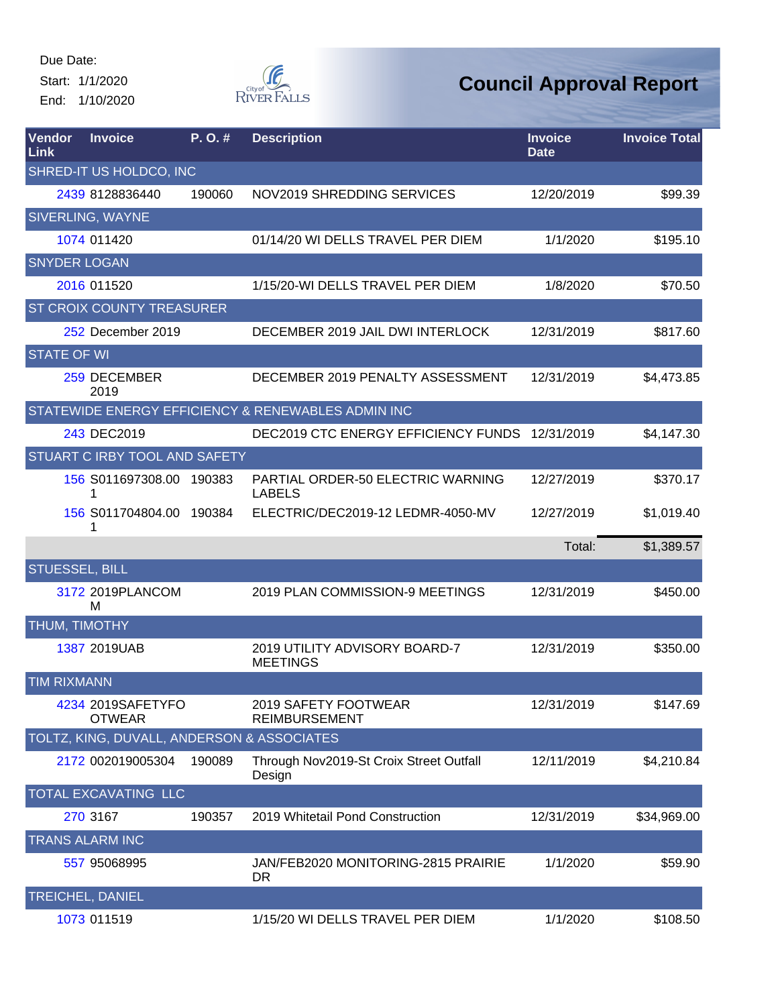Start: 1/1/2020 End: 1/10/2020



| Vendor<br><b>Link</b> | <b>Invoice</b>                             | P.O.#  | <b>Description</b>                                 | <b>Invoice</b><br><b>Date</b> | <b>Invoice Total</b> |
|-----------------------|--------------------------------------------|--------|----------------------------------------------------|-------------------------------|----------------------|
|                       | SHRED-IT US HOLDCO, INC                    |        |                                                    |                               |                      |
|                       | 2439 8128836440                            | 190060 | NOV2019 SHREDDING SERVICES                         | 12/20/2019                    | \$99.39              |
|                       | <b>SIVERLING, WAYNE</b>                    |        |                                                    |                               |                      |
|                       | 1074 011420                                |        | 01/14/20 WI DELLS TRAVEL PER DIEM                  | 1/1/2020                      | \$195.10             |
| <b>SNYDER LOGAN</b>   |                                            |        |                                                    |                               |                      |
|                       | 2016 011520                                |        | 1/15/20-WI DELLS TRAVEL PER DIEM                   | 1/8/2020                      | \$70.50              |
|                       | ST CROIX COUNTY TREASURER                  |        |                                                    |                               |                      |
|                       | 252 December 2019                          |        | DECEMBER 2019 JAIL DWI INTERLOCK                   | 12/31/2019                    | \$817.60             |
| <b>STATE OF WI</b>    |                                            |        |                                                    |                               |                      |
|                       | 259 DECEMBER<br>2019                       |        | DECEMBER 2019 PENALTY ASSESSMENT                   | 12/31/2019                    | \$4,473.85           |
|                       |                                            |        | STATEWIDE ENERGY EFFICIENCY & RENEWABLES ADMIN INC |                               |                      |
|                       | 243 DEC2019                                |        | DEC2019 CTC ENERGY EFFICIENCY FUNDS 12/31/2019     |                               | \$4,147.30           |
|                       | STUART C IRBY TOOL AND SAFETY              |        |                                                    |                               |                      |
|                       | 156 S011697308.00 190383<br>1              |        | PARTIAL ORDER-50 ELECTRIC WARNING<br><b>LABELS</b> | 12/27/2019                    | \$370.17             |
|                       | 156 S011704804.00 190384<br>1              |        | ELECTRIC/DEC2019-12 LEDMR-4050-MV                  | 12/27/2019                    | \$1,019.40           |
|                       |                                            |        |                                                    | Total:                        | \$1,389.57           |
| <b>STUESSEL, BILL</b> |                                            |        |                                                    |                               |                      |
|                       | 3172 2019PLANCOM<br>м                      |        | 2019 PLAN COMMISSION-9 MEETINGS                    | 12/31/2019                    | \$450.00             |
| THUM, TIMOTHY         |                                            |        |                                                    |                               |                      |
|                       | 1387 2019UAB                               |        | 2019 UTILITY ADVISORY BOARD-7<br><b>MEETINGS</b>   | 12/31/2019                    | \$350.00             |
| <b>TIM RIXMANN</b>    |                                            |        |                                                    |                               |                      |
|                       | 4234 2019SAFETYFO<br><b>OTWEAR</b>         |        | 2019 SAFETY FOOTWEAR<br><b>REIMBURSEMENT</b>       | 12/31/2019                    | \$147.69             |
|                       | TOLTZ, KING, DUVALL, ANDERSON & ASSOCIATES |        |                                                    |                               |                      |
|                       | 2172 002019005304                          | 190089 | Through Nov2019-St Croix Street Outfall<br>Design  | 12/11/2019                    | \$4,210.84           |
|                       | TOTAL EXCAVATING LLC                       |        |                                                    |                               |                      |
|                       | 270 3167                                   | 190357 | 2019 Whitetail Pond Construction                   | 12/31/2019                    | \$34,969.00          |
|                       | TRANS ALARM INC                            |        |                                                    |                               |                      |
|                       | 557 95068995                               |        | JAN/FEB2020 MONITORING-2815 PRAIRIE<br>DR.         | 1/1/2020                      | \$59.90              |
|                       | <b>TREICHEL, DANIEL</b>                    |        |                                                    |                               |                      |
|                       | 1073 011519                                |        | 1/15/20 WI DELLS TRAVEL PER DIEM                   | 1/1/2020                      | \$108.50             |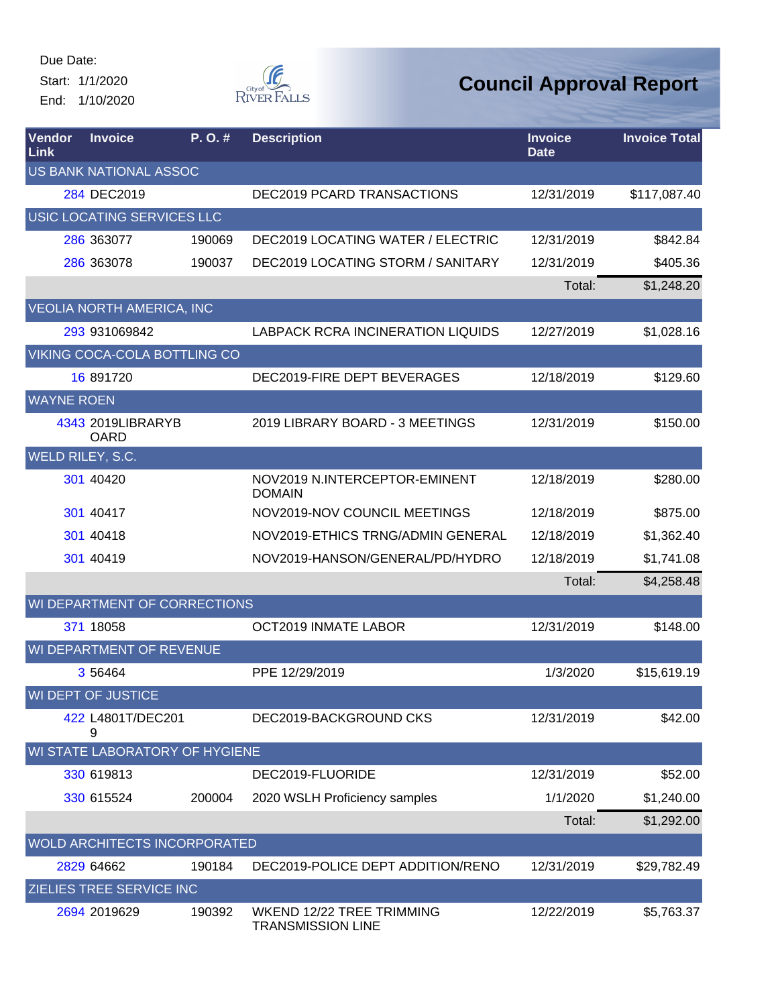Start: 1/1/2020 End: 1/10/2020



| Vendor<br>Link    | <b>Invoice</b>                   | P. O.#                              | <b>Description</b>                                    | <b>Invoice</b><br><b>Date</b> | <b>Invoice Total</b> |
|-------------------|----------------------------------|-------------------------------------|-------------------------------------------------------|-------------------------------|----------------------|
|                   | <b>US BANK NATIONAL ASSOC</b>    |                                     |                                                       |                               |                      |
|                   | 284 DEC2019                      |                                     | <b>DEC2019 PCARD TRANSACTIONS</b>                     | 12/31/2019                    | \$117,087.40         |
|                   |                                  | USIC LOCATING SERVICES LLC          |                                                       |                               |                      |
|                   | 286 363077                       | 190069                              | DEC2019 LOCATING WATER / ELECTRIC                     | 12/31/2019                    | \$842.84             |
|                   | 286 363078                       | 190037                              | DEC2019 LOCATING STORM / SANITARY                     | 12/31/2019                    | \$405.36             |
|                   |                                  |                                     |                                                       | Total:                        | \$1,248.20           |
|                   | <b>VEOLIA NORTH AMERICA, INC</b> |                                     |                                                       |                               |                      |
|                   | 293 931069842                    |                                     | <b>LABPACK RCRA INCINERATION LIQUIDS</b>              | 12/27/2019                    | \$1,028.16           |
|                   |                                  | VIKING COCA-COLA BOTTLING CO        |                                                       |                               |                      |
|                   | 16 891720                        |                                     | DEC2019-FIRE DEPT BEVERAGES                           | 12/18/2019                    | \$129.60             |
| <b>WAYNE ROEN</b> |                                  |                                     |                                                       |                               |                      |
|                   | 4343 2019LIBRARYB<br><b>OARD</b> |                                     | 2019 LIBRARY BOARD - 3 MEETINGS                       | 12/31/2019                    | \$150.00             |
| WELD RILEY, S.C.  |                                  |                                     |                                                       |                               |                      |
|                   | 301 40420                        |                                     | NOV2019 N.INTERCEPTOR-EMINENT<br><b>DOMAIN</b>        | 12/18/2019                    | \$280.00             |
|                   | 301 40417                        |                                     | NOV2019-NOV COUNCIL MEETINGS                          | 12/18/2019                    | \$875.00             |
|                   | 301 40418                        |                                     | NOV2019-ETHICS TRNG/ADMIN GENERAL                     | 12/18/2019                    | \$1,362.40           |
|                   | 301 40419                        |                                     | NOV2019-HANSON/GENERAL/PD/HYDRO                       | 12/18/2019                    | \$1,741.08           |
|                   |                                  |                                     |                                                       | Total:                        | \$4,258.48           |
|                   |                                  | WI DEPARTMENT OF CORRECTIONS        |                                                       |                               |                      |
|                   | 371 18058                        |                                     | <b>OCT2019 INMATE LABOR</b>                           | 12/31/2019                    | \$148.00             |
|                   |                                  | WI DEPARTMENT OF REVENUE            |                                                       |                               |                      |
|                   | 3 5 6 4 6 4                      |                                     | PPE 12/29/2019                                        | 1/3/2020                      | \$15,619.19          |
|                   | WI DEPT OF JUSTICE               |                                     |                                                       |                               |                      |
|                   | 422 L4801T/DEC201<br>9           |                                     | DEC2019-BACKGROUND CKS                                | 12/31/2019                    | \$42.00              |
|                   |                                  | WI STATE LABORATORY OF HYGIENE      |                                                       |                               |                      |
|                   | 330 619813                       |                                     | DEC2019-FLUORIDE                                      | 12/31/2019                    | \$52.00              |
|                   | 330 615524                       | 200004                              | 2020 WSLH Proficiency samples                         | 1/1/2020                      | \$1,240.00           |
|                   |                                  |                                     |                                                       | Total:                        | \$1,292.00           |
|                   |                                  | <b>WOLD ARCHITECTS INCORPORATED</b> |                                                       |                               |                      |
|                   | 2829 64662                       | 190184                              | DEC2019-POLICE DEPT ADDITION/RENO                     | 12/31/2019                    | \$29,782.49          |
|                   | <b>ZIELIES TREE SERVICE INC</b>  |                                     |                                                       |                               |                      |
|                   | 2694 2019629                     | 190392                              | WKEND 12/22 TREE TRIMMING<br><b>TRANSMISSION LINE</b> | 12/22/2019                    | \$5,763.37           |